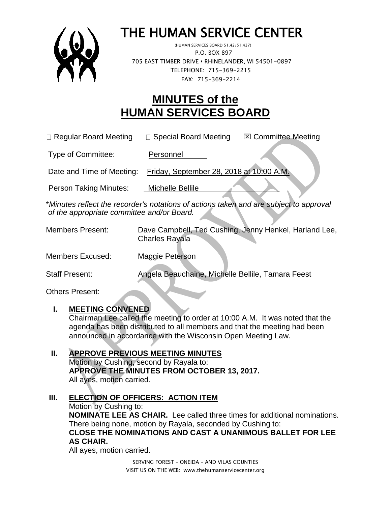

# THE HUMAN SERVICE CENTER

 (HUMAN SERVICES BOARD 51.42/51.437) P.O. BOX 897 705 EAST TIMBER DRIVE **•** RHINELANDER, WI 54501-0897 TELEPHONE: 715-369-2215 FAX: 715-369-2214

# **MINUTES of the HUMAN SERVICES BOARD**

| □ Regular Board Meeting | $\Box$ Special Board Meeting | <b>⊠ Committee Meeting</b> |
|-------------------------|------------------------------|----------------------------|
|-------------------------|------------------------------|----------------------------|

Type of Committee: Personnel

Date and Time of Meeting: Friday, September 28, 2018 at 10:00 A.M.

Person Taking Minutes: Michelle Bellile

\**Minutes reflect the recorder's notations of actions taken and are subject to approval of the appropriate committee and/or Board.*

| <b>Members Present:</b> | Dave Campbell, Ted Cushing, Jenny Henkel, Harland Lee,<br><b>Charles Rayala</b> |
|-------------------------|---------------------------------------------------------------------------------|
| Members Excused:        | Maggie Peterson                                                                 |
| <b>Staff Present:</b>   | Angela Beauchaine, Michelle Bellile, Tamara Feest                               |

Others Present:

# **I. MEETING CONVENED**

Chairman Lee called the meeting to order at 10:00 A.M. It was noted that the agenda has been distributed to all members and that the meeting had been announced in accordance with the Wisconsin Open Meeting Law.

# **II. APPROVE PREVIOUS MEETING MINUTES**

Motion by Cushing, second by Rayala to: **APPROVE THE MINUTES FROM OCTOBER 13, 2017.**  All ayes, motion carried.

# **III. ELECTION OF OFFICERS: ACTION ITEM**

Motion by Cushing to: **NOMINATE LEE AS CHAIR.** Lee called three times for additional nominations. There being none, motion by Rayala, seconded by Cushing to: **CLOSE THE NOMINATIONS AND CAST A UNANIMOUS BALLET FOR LEE AS CHAIR.**

All ayes, motion carried.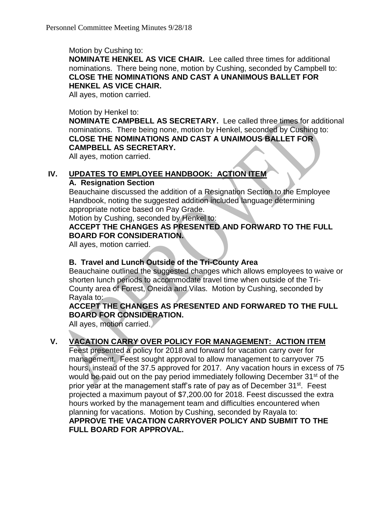Motion by Cushing to:

**NOMINATE HENKEL AS VICE CHAIR.** Lee called three times for additional nominations. There being none, motion by Cushing, seconded by Campbell to: **CLOSE THE NOMINATIONS AND CAST A UNANIMOUS BALLET FOR HENKEL AS VICE CHAIR.**

All ayes, motion carried.

#### Motion by Henkel to:

**NOMINATE CAMPBELL AS SECRETARY.** Lee called three times for additional nominations. There being none, motion by Henkel, seconded by Cushing to: **CLOSE THE NOMINATIONS AND CAST A UNAIMOUS BALLET FOR CAMPBELL AS SECRETARY.**

All ayes, motion carried.

#### **IV. UPDATES TO EMPLOYEE HANDBOOK: ACTION ITEM**

#### **A. Resignation Section**

Beauchaine discussed the addition of a Resignation Section to the Employee Handbook, noting the suggested addition included language determining appropriate notice based on Pay Grade.

Motion by Cushing, seconded by Henkel to:

#### **ACCEPT THE CHANGES AS PRESENTED AND FORWARD TO THE FULL BOARD FOR CONSIDERATION.**

All ayes, motion carried.

#### **B. Travel and Lunch Outside of the Tri-County Area**

Beauchaine outlined the suggested changes which allows employees to waive or shorten lunch periods to accommodate travel time when outside of the Tri-County area of Forest, Oneida and Vilas. Motion by Cushing, seconded by Rayala to:

**ACCEPT THE CHANGES AS PRESENTED AND FORWARED TO THE FULL BOARD FOR CONSIDERATION.**

All ayes, motion carried.

#### **V. VACATION CARRY OVER POLICY FOR MANAGEMENT: ACTION ITEM**

Feest presented a policy for 2018 and forward for vacation carry over for management. Feest sought approval to allow management to carryover 75 hours, instead of the 37.5 approved for 2017. Any vacation hours in excess of 75 would be paid out on the pay period immediately following December 31<sup>st</sup> of the prior year at the management staff's rate of pay as of December 31<sup>st</sup>. Feest projected a maximum payout of \$7,200.00 for 2018. Feest discussed the extra hours worked by the management team and difficulties encountered when planning for vacations. Motion by Cushing, seconded by Rayala to: **APPROVE THE VACATION CARRYOVER POLICY AND SUBMIT TO THE FULL BOARD FOR APPROVAL.**